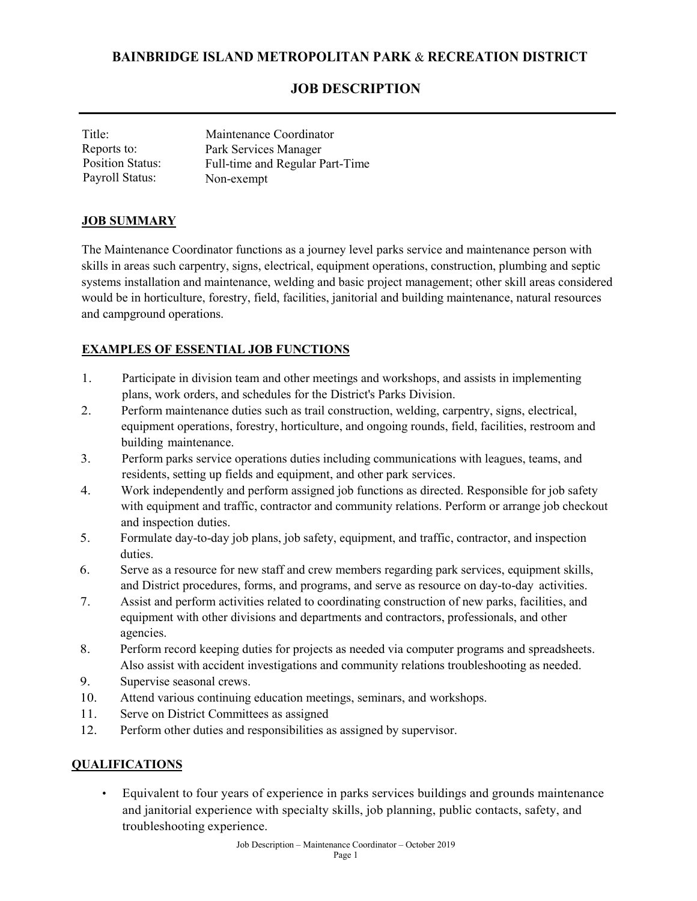## **BAINBRIDGE ISLAND METROPOLITAN PARK** & **RECREATION DISTRICT**

### **JOB DESCRIPTION**

| Title:                  | Maintenance Coordinator         |
|-------------------------|---------------------------------|
| Reports to:             | Park Services Manager           |
| <b>Position Status:</b> | Full-time and Regular Part-Time |
| Payroll Status:         | Non-exempt                      |

#### **JOB SUMMARY**

The Maintenance Coordinator functions as a journey level parks service and maintenance person with skills in areas such carpentry, signs, electrical, equipment operations, construction, plumbing and septic systems installation and maintenance, welding and basic project management; other skill areas considered would be in horticulture, forestry, field, facilities, janitorial and building maintenance, natural resources and campground operations.

### **EXAMPLES OF ESSENTIAL JOB FUNCTIONS**

- 1. Participate in division team and other meetings and workshops, and assists in implementing plans, work orders, and schedules for the District's Parks Division.
- 2. Perform maintenance duties such as trail construction, welding, carpentry, signs, electrical, equipment operations, forestry, horticulture, and ongoing rounds, field, facilities, restroom and building maintenance.
- 3. Perform parks service operations duties including communications with leagues, teams, and residents, setting up fields and equipment, and other park services.
- 4. Work independently and perform assigned job functions as directed. Responsible for job safety with equipment and traffic, contractor and community relations. Perform or arrange job checkout and inspection duties.
- 5. Formulate day-to-day job plans, job safety, equipment, and traffic, contractor, and inspection duties.
- 6. Serve as a resource for new staff and crew members regarding park services, equipment skills, and District procedures, forms, and programs, and serve as resource on day-to-day activities.
- 7. Assist and perform activities related to coordinating construction of new parks, facilities, and equipment with other divisions and departments and contractors, professionals, and other agencies.
- 8. Perform record keeping duties for projects as needed via computer programs and spreadsheets. Also assist with accident investigations and community relations troubleshooting as needed.
- 9. Supervise seasonal crews.
- 10. Attend various continuing education meetings, seminars, and workshops.
- 11. Serve on District Committees as assigned
- 12. Perform other duties and responsibilities as assigned by supervisor.

### **QUALIFICATIONS**

• Equivalent to four years of experience in parks services buildings and grounds maintenance and janitorial experience with specialty skills, job planning, public contacts, safety, and troubleshooting experience.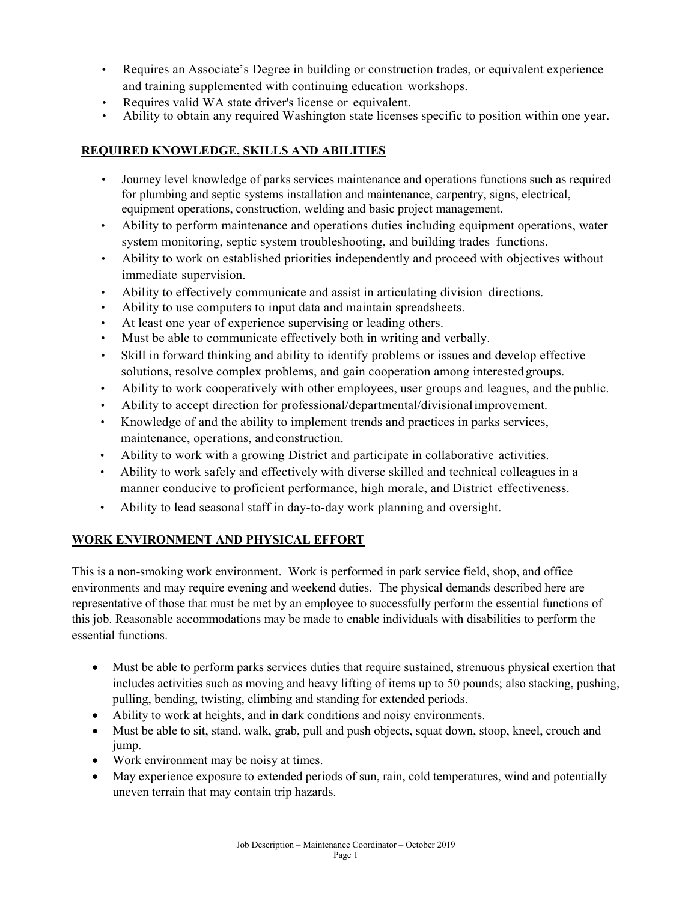- Requires an Associate's Degree in building or construction trades, or equivalent experience and training supplemented with continuing education workshops.
- Requires valid WA state driver's license or equivalent.
- Ability to obtain any required Washington state licenses specific to position within one year.

## **REQUIRED KNOWLEDGE, SKILLS AND ABILITIES**

- Journey level knowledge of parks services maintenance and operations functions such as required for plumbing and septic systems installation and maintenance, carpentry, signs, electrical, equipment operations, construction, welding and basic project management.
- Ability to perform maintenance and operations duties including equipment operations, water system monitoring, septic system troubleshooting, and building trades functions.
- Ability to work on established priorities independently and proceed with objectives without immediate supervision.
- Ability to effectively communicate and assist in articulating division directions.
- Ability to use computers to input data and maintain spreadsheets.
- At least one year of experience supervising or leading others.
- Must be able to communicate effectively both in writing and verbally.
- Skill in forward thinking and ability to identify problems or issues and develop effective solutions, resolve complex problems, and gain cooperation among interested groups.
- Ability to work cooperatively with other employees, user groups and leagues, and the public.
- Ability to accept direction for professional/departmental/divisionalimprovement.
- Knowledge of and the ability to implement trends and practices in parks services, maintenance, operations, and construction.
- Ability to work with a growing District and participate in collaborative activities.
- Ability to work safely and effectively with diverse skilled and technical colleagues in a manner conducive to proficient performance, high morale, and District effectiveness.
- Ability to lead seasonal staff in day-to-day work planning and oversight.

# **WORK ENVIRONMENT AND PHYSICAL EFFORT**

This is a non-smoking work environment. Work is performed in park service field, shop, and office environments and may require evening and weekend duties. The physical demands described here are representative of those that must be met by an employee to successfully perform the essential functions of this job. Reasonable accommodations may be made to enable individuals with disabilities to perform the essential functions.

- Must be able to perform parks services duties that require sustained, strenuous physical exertion that includes activities such as moving and heavy lifting of items up to 50 pounds; also stacking, pushing, pulling, bending, twisting, climbing and standing for extended periods.
- Ability to work at heights, and in dark conditions and noisy environments.
- Must be able to sit, stand, walk, grab, pull and push objects, squat down, stoop, kneel, crouch and jump.
- Work environment may be noisy at times.
- May experience exposure to extended periods of sun, rain, cold temperatures, wind and potentially uneven terrain that may contain trip hazards.